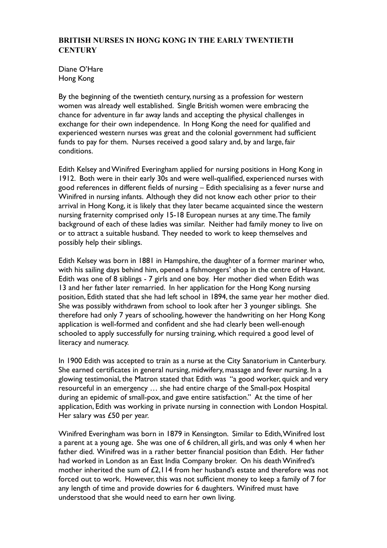## **BRITISH NURSES IN HONG KONG IN THE EARLY TWENTIETH CENTURY**

Diane O'Hare Hong Kong

By the beginning of the twentieth century, nursing as a profession for western women was already well established. Single British women were embracing the chance for adventure in far away lands and accepting the physical challenges in exchange for their own independence. In Hong Kong the need for qualified and experienced western nurses was great and the colonial government had sufficient funds to pay for them. Nurses received a good salary and, by and large, fair conditions.

Edith Kelsey and Winifred Everingham applied for nursing positions in Hong Kong in 1912. Both were in their early 30s and were well-qualified, experienced nurses with good references in different fields of nursing – Edith specialising as a fever nurse and Winifred in nursing infants. Although they did not know each other prior to their arrival in Hong Kong, it is likely that they later became acquainted since the western nursing fraternity comprised only 15-18 European nurses at any time. The family background of each of these ladies was similar. Neither had family money to live on or to attract a suitable husband. They needed to work to keep themselves and possibly help their siblings.

Edith Kelsey was born in 1881 in Hampshire, the daughter of a former mariner who, with his sailing days behind him, opened a fishmongers' shop in the centre of Havant. Edith was one of 8 siblings - 7 girls and one boy. Her mother died when Edith was 13 and her father later remarried. In her application for the Hong Kong nursing position, Edith stated that she had left school in 1894, the same year her mother died. She was possibly withdrawn from school to look after her 3 younger siblings. She therefore had only 7 years of schooling, however the handwriting on her Hong Kong application is well-formed and confident and she had clearly been well-enough schooled to apply successfully for nursing training, which required a good level of literacy and numeracy.

In 1900 Edith was accepted to train as a nurse at the City Sanatorium in Canterbury. She earned certificates in general nursing, midwifery, massage and fever nursing. In a glowing testimonial, the Matron stated that Edith was "a good worker, quick and very resourceful in an emergency … she had entire charge of the Small-pox Hospital during an epidemic of small-pox, and gave entire satisfaction." At the time of her application, Edith was working in private nursing in connection with London Hospital. Her salary was £50 per year.

Winifred Everingham was born in 1879 in Kensington. Similar to Edith, Winifred lost a parent at a young age. She was one of 6 children, all girls, and was only 4 when her father died. Winifred was in a rather better financial position than Edith. Her father had worked in London as an East India Company broker. On his death Winifred's mother inherited the sum of £2,114 from her husband's estate and therefore was not forced out to work. However, this was not sufficient money to keep a family of 7 for any length of time and provide dowries for 6 daughters. Winifred must have understood that she would need to earn her own living.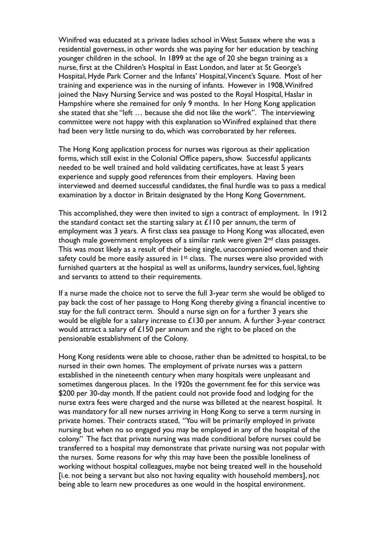Winifred was educated at a private ladies school in West Sussex where she was a residential governess, in other words she was paying for her education by teaching younger children in the school. In 1899 at the age of 20 she began training as a nurse, first at the Children's Hospital in East London, and later at St George's Hospital, Hyde Park Corner and the Infants' Hospital, Vincent's Square. Most of her training and experience was in the nursing of infants. However in 1908, Winifred joined the Navy Nursing Service and was posted to the Royal Hospital, Haslar in Hampshire where she remained for only 9 months. In her Hong Kong application she stated that she "left … because she did not like the work". The interviewing committee were not happy with this explanation so Winifred explained that there had been very little nursing to do, which was corroborated by her referees.

The Hong Kong application process for nurses was rigorous as their application forms, which still exist in the Colonial Office papers, show. Successful applicants needed to be well trained and hold validating certificates, have at least 5 years experience and supply good references from their employers. Having been interviewed and deemed successful candidates, the final hurdle was to pass a medical examination by a doctor in Britain designated by the Hong Kong Government.

This accomplished, they were then invited to sign a contract of employment. In 1912 the standard contact set the starting salary at £110 per annum, the term of employment was 3 years. A first class sea passage to Hong Kong was allocated, even though male government employees of a similar rank were given 2<sup>nd</sup> class passages. This was most likely as a result of their being single, unaccompanied women and their safety could be more easily assured in  $1<sup>st</sup>$  class. The nurses were also provided with furnished quarters at the hospital as well as uniforms, laundry services, fuel, lighting and servants to attend to their requirements.

If a nurse made the choice not to serve the full 3-year term she would be obliged to pay back the cost of her passage to Hong Kong thereby giving a financial incentive to stay for the full contract term. Should a nurse sign on for a further 3 years she would be eligible for a salary increase to £130 per annum. A further 3-year contract would attract a salary of £150 per annum and the right to be placed on the pensionable establishment of the Colony.

Hong Kong residents were able to choose, rather than be admitted to hospital, to be nursed in their own homes. The employment of private nurses was a pattern established in the nineteenth century when many hospitals were unpleasant and sometimes dangerous places. In the 1920s the government fee for this service was \$200 per 30-day month. If the patient could not provide food and lodging for the nurse extra fees were charged and the nurse was billeted at the nearest hospital. It was mandatory for all new nurses arriving in Hong Kong to serve a term nursing in private homes. Their contracts stated, "You will be primarily employed in private nursing but when no so engaged you may be employed in any of the hospital of the colony." The fact that private nursing was made conditional before nurses could be transferred to a hospital may demonstrate that private nursing was not popular with the nurses. Some reasons for why this may have been the possible loneliness of working without hospital colleagues, maybe not being treated well in the household [i.e. not being a servant but also not having equality with household members], not being able to learn new procedures as one would in the hospital environment.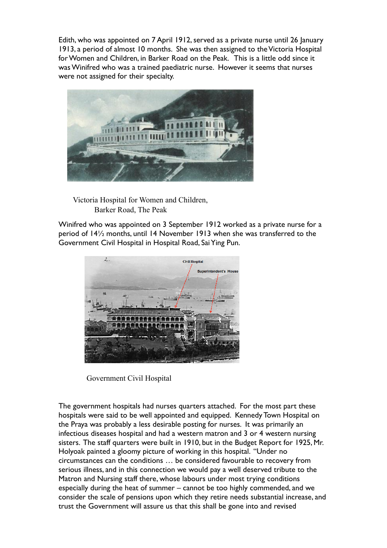Edith, who was appointed on 7 April 1912, served as a private nurse until 26 January 1913, a period of almost 10 months. She was then assigned to the Victoria Hospital for Women and Children, in Barker Road on the Peak. This is a little odd since it was Winifred who was a trained paediatric nurse. However it seems that nurses were not assigned for their specialty.



Victoria Hospital for Women and Children, Barker Road, The Peak

Winifred who was appointed on 3 September 1912 worked as a private nurse for a period of 14½ months, until 14 November 1913 when she was transferred to the Government Civil Hospital in Hospital Road, Sai Ying Pun.



Government Civil Hospital

The government hospitals had nurses quarters attached. For the most part these hospitals were said to be well appointed and equipped. Kennedy Town Hospital on the Praya was probably a less desirable posting for nurses. It was primarily an infectious diseases hospital and had a western matron and 3 or 4 western nursing sisters. The staff quarters were built in 1910, but in the Budget Report for 1925, Mr. Holyoak painted a gloomy picture of working in this hospital. "Under no circumstances can the conditions … be considered favourable to recovery from serious illness, and in this connection we would pay a well deserved tribute to the Matron and Nursing staff there, whose labours under most trying conditions especially during the heat of summer – cannot be too highly commended, and we consider the scale of pensions upon which they retire needs substantial increase, and trust the Government will assure us that this shall be gone into and revised